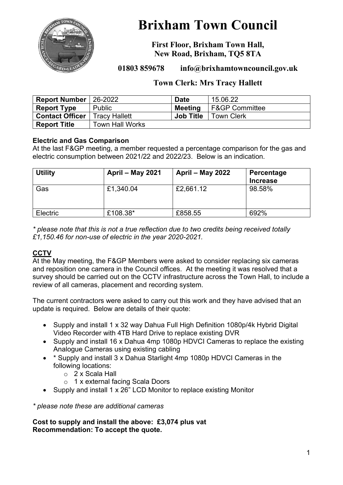

# **Brixham Town Council**

**First Floor, Brixham Town Hall, New Road, Brixham, TQ5 8TA**

**01803 859678 info@brixhamtowncouncil.gov.uk**

# **Town Clerk: Mrs Tracy Hallett**

| <b>Report Number</b>   | 26-2022                | <b>Date</b>      | 15.06.22                  |
|------------------------|------------------------|------------------|---------------------------|
| <b>Report Type</b>     | Public                 | Meeting          | <b>F&amp;GP Committee</b> |
| <b>Contact Officer</b> | l Tracy Hallett        | <b>Job Title</b> | <b>Town Clerk</b>         |
| <b>Report Title</b>    | <b>Town Hall Works</b> |                  |                           |

# **Electric and Gas Comparison**

At the last F&GP meeting, a member requested a percentage comparison for the gas and electric consumption between 2021/22 and 2022/23. Below is an indication.

| <b>Utility</b>  | April - May 2021 | <b>April – May 2022</b> | <b>Percentage</b><br><b>Increase</b> |
|-----------------|------------------|-------------------------|--------------------------------------|
| Gas             | £1,340.04        | £2,661.12               | 98.58%                               |
| <b>Electric</b> | £108.38*         | £858.55                 | 692%                                 |

*\* please note that this is not a true reflection due to two credits being received totally £1,150.46 for non-use of electric in the year 2020-2021.*

# **CCTV**

At the May meeting, the F&GP Members were asked to consider replacing six cameras and reposition one camera in the Council offices. At the meeting it was resolved that a survey should be carried out on the CCTV infrastructure across the Town Hall, to include a review of all cameras, placement and recording system.

The current contractors were asked to carry out this work and they have advised that an update is required. Below are details of their quote:

- Supply and install 1 x 32 way Dahua Full High Definition 1080p/4k Hybrid Digital Video Recorder with 4TB Hard Drive to replace existing DVR
- Supply and install 16 x Dahua 4mp 1080p HDVCI Cameras to replace the existing Analogue Cameras using existing cabling
- \* Supply and install 3 x Dahua Starlight 4mp 1080p HDVCI Cameras in the following locations:
	- o 2 x Scala Hall
	- o 1 x external facing Scala Doors
- Supply and install 1 x 26" LCD Monitor to replace existing Monitor

*\* please note these are additional cameras*

**Cost to supply and install the above: £3,074 plus vat Recommendation: To accept the quote.**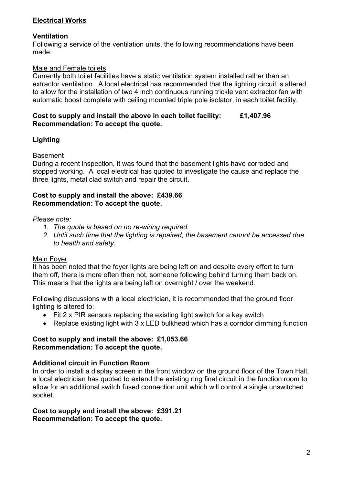# **Electrical Works**

### **Ventilation**

Following a service of the ventilation units, the following recommendations have been made:

# Male and Female toilets

Currently both toilet facilities have a static ventilation system installed rather than an extractor ventilation. A local electrical has recommended that the lighting circuit is altered to allow for the installation of two 4 inch continuous running trickle vent extractor fan with automatic boost complete with ceiling mounted triple pole isolator, in each toilet facility.

#### **Cost to supply and install the above in each toilet facility: £1,407.96 Recommendation: To accept the quote.**

# **Lighting**

#### Basement

During a recent inspection, it was found that the basement lights have corroded and stopped working. A local electrical has quoted to investigate the cause and replace the three lights, metal clad switch and repair the circuit.

#### **Cost to supply and install the above: £439.66 Recommendation: To accept the quote.**

# *Please note:*

- *1. The quote is based on no re-wiring required.*
- *2. Until such time that the lighting is repaired, the basement cannot be accessed due to health and safety.*

# Main Foyer

It has been noted that the foyer lights are being left on and despite every effort to turn them off, there is more often then not, someone following behind turning them back on. This means that the lights are being left on overnight / over the weekend.

Following discussions with a local electrician, it is recommended that the ground floor lighting is altered to:

- Fit 2 x PIR sensors replacing the existing light switch for a key switch
- Replace existing light with 3 x LED bulkhead which has a corridor dimming function

#### **Cost to supply and install the above: £1,053.66 Recommendation: To accept the quote.**

#### **Additional circuit in Function Room**

In order to install a display screen in the front window on the ground floor of the Town Hall, a local electrician has quoted to extend the existing ring final circuit in the function room to allow for an additional switch fused connection unit which will control a single unswitched socket.

#### **Cost to supply and install the above: £391.21 Recommendation: To accept the quote.**